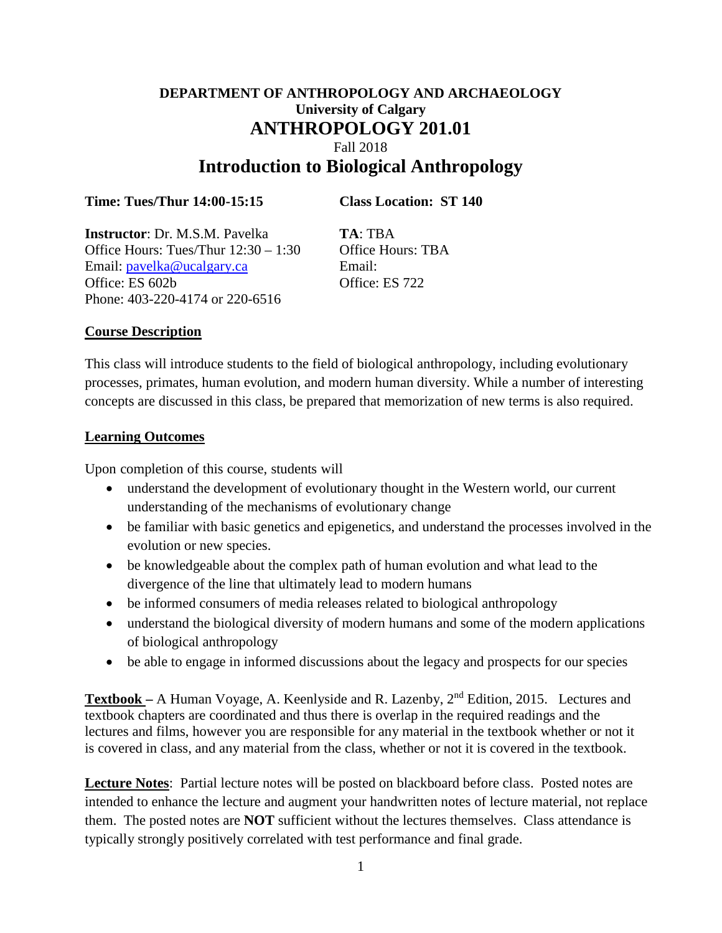# **DEPARTMENT OF ANTHROPOLOGY AND ARCHAEOLOGY University of Calgary ANTHROPOLOGY 201.01** Fall 2018 **Introduction to Biological Anthropology**

### **Time: Tues/Thur 14:00-15:15 Class Location: ST 140**

**Instructor**: Dr. M.S.M. Pavelka **TA**: TBA Office Hours: Tues/Thur  $12:30 - 1:30$  Office Hours: TBA Email: [pavelka@ucalgary.ca](mailto:pavelka@ucalgary.ca) Email: Office: ES 602b Office: ES 722 Phone: 403-220-4174 or 220-6516

### **Course Description**

This class will introduce students to the field of biological anthropology, including evolutionary processes, primates, human evolution, and modern human diversity. While a number of interesting concepts are discussed in this class, be prepared that memorization of new terms is also required.

#### **Learning Outcomes**

Upon completion of this course, students will

- understand the development of evolutionary thought in the Western world, our current understanding of the mechanisms of evolutionary change
- be familiar with basic genetics and epigenetics, and understand the processes involved in the evolution or new species.
- be knowledgeable about the complex path of human evolution and what lead to the divergence of the line that ultimately lead to modern humans
- be informed consumers of media releases related to biological anthropology
- understand the biological diversity of modern humans and some of the modern applications of biological anthropology
- be able to engage in informed discussions about the legacy and prospects for our species

**Textbook –** A Human Voyage, A. Keenlyside and R. Lazenby, 2nd Edition, 2015. Lectures and textbook chapters are coordinated and thus there is overlap in the required readings and the lectures and films, however you are responsible for any material in the textbook whether or not it is covered in class, and any material from the class, whether or not it is covered in the textbook.

**Lecture Notes**: Partial lecture notes will be posted on blackboard before class. Posted notes are intended to enhance the lecture and augment your handwritten notes of lecture material, not replace them. The posted notes are **NOT** sufficient without the lectures themselves. Class attendance is typically strongly positively correlated with test performance and final grade.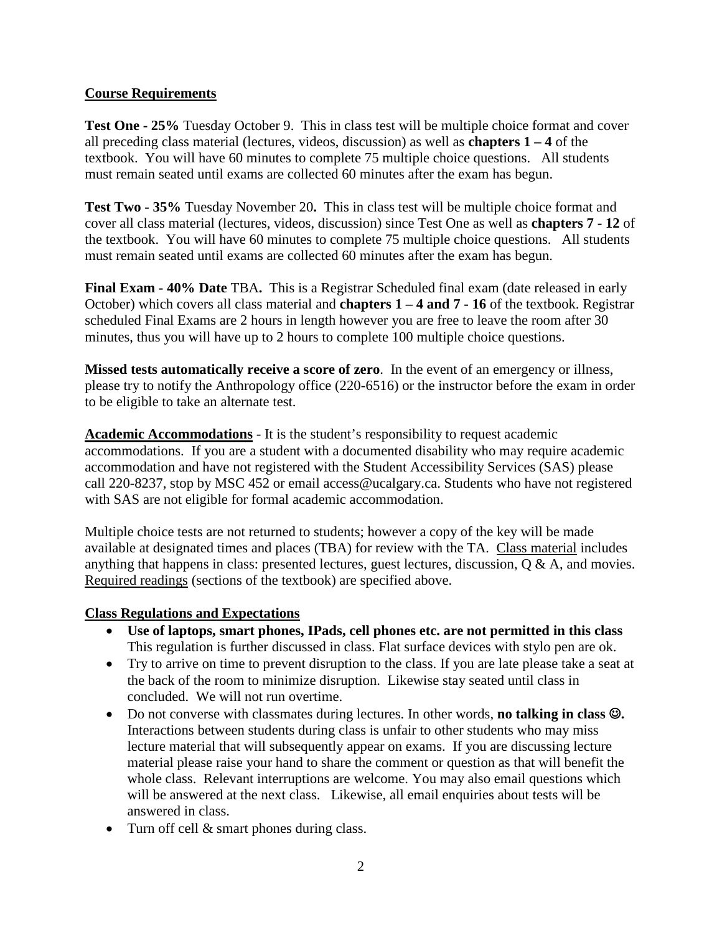# **Course Requirements**

**Test One - 25%** Tuesday October 9. This in class test will be multiple choice format and cover all preceding class material (lectures, videos, discussion) as well as **chapters 1 – 4** of the textbook. You will have 60 minutes to complete 75 multiple choice questions. All students must remain seated until exams are collected 60 minutes after the exam has begun.

**Test Two - 35%** Tuesday November 20**.** This in class test will be multiple choice format and cover all class material (lectures, videos, discussion) since Test One as well as **chapters 7 - 12** of the textbook. You will have 60 minutes to complete 75 multiple choice questions. All students must remain seated until exams are collected 60 minutes after the exam has begun.

**Final Exam - 40% Date** TBA**.** This is a Registrar Scheduled final exam (date released in early October) which covers all class material and **chapters 1 – 4 and 7 - 16** of the textbook. Registrar scheduled Final Exams are 2 hours in length however you are free to leave the room after 30 minutes, thus you will have up to 2 hours to complete 100 multiple choice questions.

**Missed tests automatically receive a score of zero**. In the event of an emergency or illness, please try to notify the Anthropology office (220-6516) or the instructor before the exam in order to be eligible to take an alternate test.

**Academic Accommodations** - It is the student's responsibility to request academic accommodations. If you are a student with a documented disability who may require academic accommodation and have not registered with the Student Accessibility Services (SAS) please call 220-8237, stop by MSC 452 or email [access@ucalgary.ca.](mailto:access@ucalgary.ca) Students who have not registered with SAS are not eligible for formal academic accommodation.

Multiple choice tests are not returned to students; however a copy of the key will be made available at designated times and places (TBA) for review with the TA. Class material includes anything that happens in class: presented lectures, guest lectures, discussion, Q & A, and movies. Required readings (sections of the textbook) are specified above.

### **Class Regulations and Expectations**

- **Use of laptops, smart phones, IPads, cell phones etc. are not permitted in this class** This regulation is further discussed in class. Flat surface devices with stylo pen are ok.
- Try to arrive on time to prevent disruption to the class. If you are late please take a seat at the back of the room to minimize disruption. Likewise stay seated until class in concluded. We will not run overtime.
- Do not converse with classmates during lectures. In other words, **no talking in class .** Interactions between students during class is unfair to other students who may miss lecture material that will subsequently appear on exams. If you are discussing lecture material please raise your hand to share the comment or question as that will benefit the whole class. Relevant interruptions are welcome. You may also email questions which will be answered at the next class. Likewise, all email enquiries about tests will be answered in class.
- Turn off cell & smart phones during class.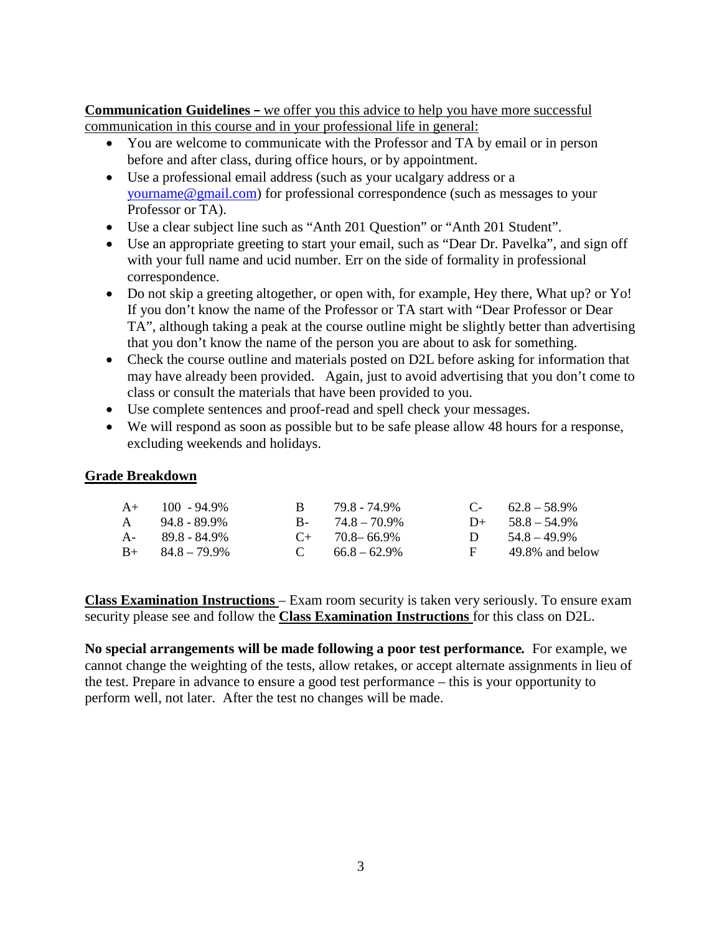**Communication Guidelines –** we offer you this advice to help you have more successful communication in this course and in your professional life in general:

- You are welcome to communicate with the Professor and TA by email or in person before and after class, during office hours, or by appointment.
- Use a professional email address (such as your ucalgary address or a [yourname@gmail.com\)](mailto:yourname@gmail.com) for professional correspondence (such as messages to your Professor or TA).
- Use a clear subject line such as "Anth 201 Question" or "Anth 201 Student".
- Use an appropriate greeting to start your email, such as "Dear Dr. Pavelka", and sign off with your full name and ucid number. Err on the side of formality in professional correspondence.
- Do not skip a greeting altogether, or open with, for example, Hey there, What up? or Yo! If you don't know the name of the Professor or TA start with "Dear Professor or Dear TA", although taking a peak at the course outline might be slightly better than advertising that you don't know the name of the person you are about to ask for something.
- Check the course outline and materials posted on D2L before asking for information that may have already been provided. Again, just to avoid advertising that you don't come to class or consult the materials that have been provided to you.
- Use complete sentences and proof-read and spell check your messages.
- We will respond as soon as possible but to be safe please allow 48 hours for a response, excluding weekends and holidays.

# **Grade Breakdown**

|              | $A+$ 100 - 94.9%        | R. | 79.8 - 74.9%           |              | $C - 62.8 - 58.9\%$ |
|--------------|-------------------------|----|------------------------|--------------|---------------------|
| $\mathsf{A}$ | 948-899%                |    | $B - 74.8 - 70.9\%$    |              | $D+ 58.8 - 54.9\%$  |
|              | $A - 89.8 - 84.9\%$     |    | $C_{\pm}$ 70.8 – 66.9% | $\mathbf{D}$ | $54.8 - 49.9\%$     |
|              | $B_{+}$ $84.8 - 79.9\%$ |    | C $66.8-62.9\%$        | $F -$        | 49.8% and below     |

**Class Examination Instructions** – Exam room security is taken very seriously. To ensure exam security please see and follow the **Class Examination Instructions** for this class on D2L.

**No special arrangements will be made following a poor test performance***.* For example, we cannot change the weighting of the tests, allow retakes, or accept alternate assignments in lieu of the test. Prepare in advance to ensure a good test performance – this is your opportunity to perform well, not later. After the test no changes will be made.